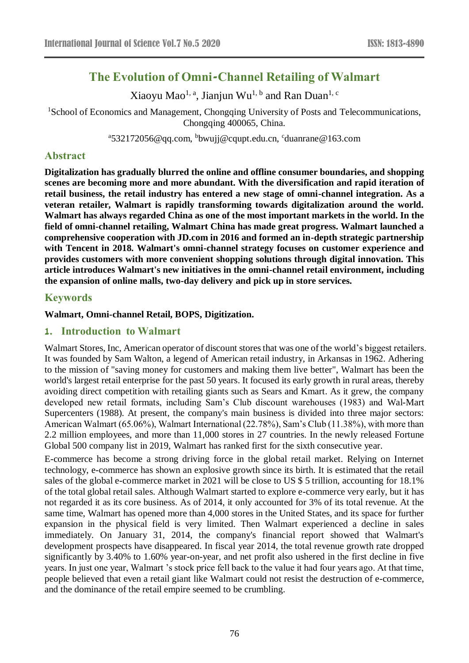# **The Evolution of Omni-Channel Retailing of Walmart**

Xiaoyu Mao<sup>1, a</sup>, Jianjun Wu<sup>1, b</sup> and Ran Duan<sup>1, c</sup>

<sup>1</sup>School of Economics and Management, Chongqing University of Posts and Telecommunications, Chongqing 400065, China.

<sup>a</sup>532172056@qq.com, <sup>b</sup>bwujj@cqupt.edu.cn, <sup>c</sup>duanrane@163.com

# **Abstract**

**Digitalization has gradually blurred the online and offline consumer boundaries, and shopping scenes are becoming more and more abundant. With the diversification and rapid iteration of retail business, the retail industry has entered a new stage of omni-channel integration. As a veteran retailer, Walmart is rapidly transforming towards digitalization around the world. Walmart has always regarded China as one of the most important markets in the world. In the field of omni-channel retailing, Walmart China has made great progress. Walmart launched a comprehensive cooperation with JD.com in 2016 and formed an in-depth strategic partnership with Tencent in 2018. Walmart's omni-channel strategy focuses on customer experience and provides customers with more convenient shopping solutions through digital innovation. This article introduces Walmart's new initiatives in the omni-channel retail environment, including the expansion of online malls, two-day delivery and pick up in store services.**

# **Keywords**

#### **Walmart, Omni-channel Retail, BOPS, Digitization.**

## **1. Introduction to Walmart**

Walmart Stores, Inc, American operator of discount stores that was one of the world's biggest retailers. It was founded by Sam Walton, a legend of American retail industry, in Arkansas in 1962. Adhering to the mission of "saving money for customers and making them live better", Walmart has been the world's largest retail enterprise for the past 50 years. It focused its early growth in rural areas, thereby avoiding direct competition with retailing giants such as Sears and Kmart. As it grew, the company developed new retail formats, including Sam's Club discount warehouses (1983) and Wal-Mart Supercenters (1988). At present, the company's main business is divided into three major sectors: American Walmart (65.06%), Walmart International (22.78%), Sam's Club (11.38%), with more than 2.2 million employees, and more than 11,000 stores in 27 countries. In the newly released Fortune Global 500 company list in 2019, Walmart has ranked first for the sixth consecutive year.

E-commerce has become a strong driving force in the global retail market. Relying on Internet technology, e-commerce has shown an explosive growth since its birth. It is estimated that the retail sales of the global e-commerce market in 2021 will be close to US \$ 5 trillion, accounting for 18.1% of the total global retail sales. Although Walmart started to explore e-commerce very early, but it has not regarded it as its core business. As of 2014, it only accounted for 3% of its total revenue. At the same time, Walmart has opened more than 4,000 stores in the United States, and its space for further expansion in the physical field is very limited. Then Walmart experienced a decline in sales immediately. On January 31, 2014, the company's financial report showed that Walmart's development prospects have disappeared. In fiscal year 2014, the total revenue growth rate dropped significantly by 3.40% to 1.60% year-on-year, and net profit also ushered in the first decline in five years. In just one year, Walmart 's stock price fell back to the value it had four years ago. At that time, people believed that even a retail giant like Walmart could not resist the destruction of e-commerce, and the dominance of the retail empire seemed to be crumbling.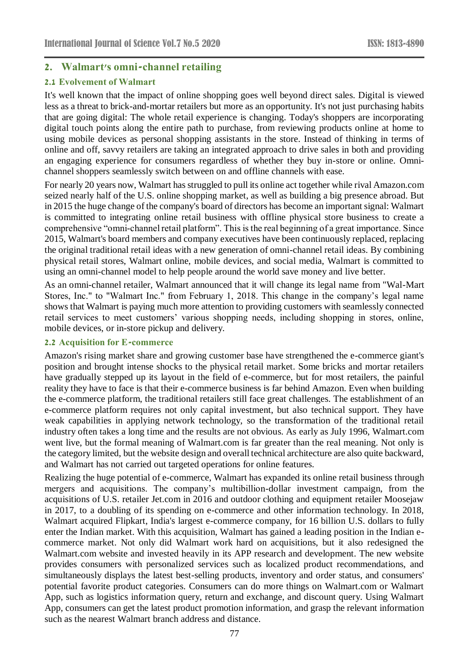# **2. Walmart's omni-channel retailing**

#### **2.1 Evolvement of Walmart**

It's well known that the impact of online shopping goes well beyond direct sales. Digital is viewed less as a threat to brick-and-mortar retailers but more as an opportunity. It's not just purchasing habits that are going digital: The whole retail experience is changing. Today's shoppers are incorporating digital touch points along the entire path to purchase, from reviewing products online at home to using mobile devices as personal shopping assistants in the store. Instead of thinking in terms of online and off, savvy retailers are taking an integrated approach to drive sales in both and providing an engaging experience for consumers regardless of whether they buy in-store or online. Omnichannel shoppers seamlessly switch between on and offline channels with ease.

For nearly 20 years now, Walmart has struggled to pull its online act together while rival Amazon.com seized nearly half of the U.S. online shopping market, as well as building a big presence abroad. But in 2015 the huge change of the company's board of directors has become an important signal: Walmart is committed to integrating online retail business with offline physical store business to create a comprehensive "omni-channel retail platform". This is the real beginning of a great importance. Since 2015, Walmart's board members and company executives have been continuously replaced, replacing the original traditional retail ideas with a new generation of omni-channel retail ideas. By combining physical retail stores, Walmart online, mobile devices, and social media, Walmart is committed to using an omni-channel model to help people around the world save money and live better.

As an omni-channel retailer, Walmart announced that it will change its legal name from "Wal-Mart Stores, Inc." to "Walmart Inc." from February 1, 2018. This change in the company's legal name shows that Walmart is paying much more attention to providing customers with seamlessly connected retail services to meet customers' various shopping needs, including shopping in stores, online, mobile devices, or in-store pickup and delivery.

#### **2.2 Acquisition for E-commerce**

Amazon's rising market share and growing customer base have strengthened the e-commerce giant's position and brought intense shocks to the physical retail market. Some bricks and mortar retailers have gradually stepped up its layout in the field of e-commerce, but for most retailers, the painful reality they have to face is that their e-commerce business is far behind Amazon. Even when building the e-commerce platform, the traditional retailers still face great challenges. The establishment of an e-commerce platform requires not only capital investment, but also technical support. They have weak capabilities in applying network technology, so the transformation of the traditional retail industry often takes a long time and the results are not obvious. As early as July 1996, Walmart.com went live, but the formal meaning of Walmart.com is far greater than the real meaning. Not only is the category limited, but the website design and overall technical architecture are also quite backward, and Walmart has not carried out targeted operations for online features.

Realizing the huge potential of e-commerce, Walmart has expanded its online retail business through mergers and acquisitions. The company's multibillion-dollar investment campaign, from the acquisitions of U.S. retailer Jet.com in 2016 and outdoor clothing and equipment retailer Moosejaw in 2017, to a doubling of its spending on e-commerce and other information technology. In 2018, Walmart acquired Flipkart, India's largest e-commerce company, for 16 billion U.S. dollars to fully enter the Indian market. With this acquisition, Walmart has gained a leading position in the Indian ecommerce market. Not only did Walmart work hard on acquisitions, but it also redesigned the Walmart.com website and invested heavily in its APP research and development. The new website provides consumers with personalized services such as localized product recommendations, and simultaneously displays the latest best-selling products, inventory and order status, and consumers' potential favorite product categories. Consumers can do more things on Walmart.com or Walmart App, such as logistics information query, return and exchange, and discount query. Using Walmart App, consumers can get the latest product promotion information, and grasp the relevant information such as the nearest Walmart branch address and distance.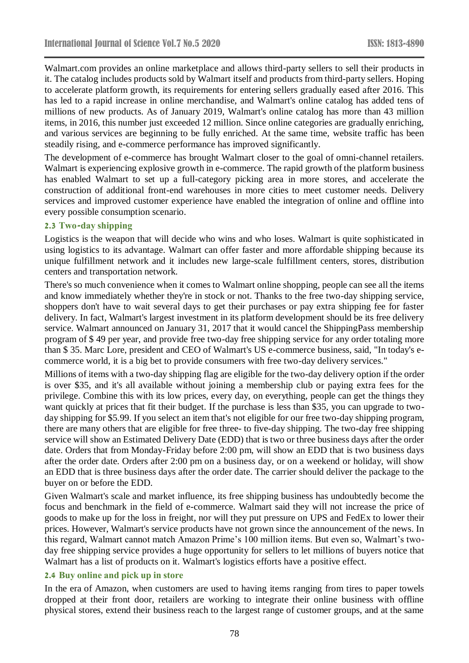Walmart.com provides an online marketplace and allows third-party sellers to sell their products in it. The catalog includes products sold by Walmart itself and products from third-party sellers. Hoping to accelerate platform growth, its requirements for entering sellers gradually eased after 2016. This has led to a rapid increase in online merchandise, and Walmart's online catalog has added tens of millions of new products. As of January 2019, Walmart's online catalog has more than 43 million items, in 2016, this number just exceeded 12 million. Since online categories are gradually enriching, and various services are beginning to be fully enriched. At the same time, website traffic has been steadily rising, and e-commerce performance has improved significantly.

The development of e-commerce has brought Walmart closer to the goal of omni-channel retailers. Walmart is experiencing explosive growth in e-commerce. The rapid growth of the platform business has enabled Walmart to set up a full-category picking area in more stores, and accelerate the construction of additional front-end warehouses in more cities to meet customer needs. Delivery services and improved customer experience have enabled the integration of online and offline into every possible consumption scenario.

#### **2.3 Two-day shipping**

Logistics is the weapon that will decide who wins and who loses. Walmart is quite sophisticated in using logistics to its advantage. Walmart can offer faster and more affordable shipping because its unique fulfillment network and it includes new large-scale fulfillment centers, stores, distribution centers and transportation network.

There's so much convenience when it comes to Walmart online shopping, people can see all the items and know immediately whether they're in stock or not. Thanks to the free two-day shipping service, shoppers don't have to wait several days to get their purchases or pay extra shipping fee for faster delivery. In fact, Walmart's largest investment in its platform development should be its free delivery service. Walmart announced on January 31, 2017 that it would cancel the ShippingPass membership program of \$ 49 per year, and provide free two-day free shipping service for any order totaling more than \$ 35. Marc Lore, president and CEO of Walmart's US e-commerce business, said, "In today's ecommerce world, it is a big bet to provide consumers with free two-day delivery services."

Millions of items with a two-day shipping flag are eligible for the two-day delivery option if the order is over \$35, and it's all available without joining a membership club or paying extra fees for the privilege. Combine this with its low prices, every day, on everything, people can get the things they want quickly at prices that fit their budget. If the purchase is less than \$35, you can upgrade to twoday shipping for \$5.99. If you select an item that's not eligible for our free two-day shipping program, there are many others that are eligible for free three- to five-day shipping. The two-day free shipping service will show an Estimated Delivery Date (EDD) that is two or three business days after the order date. Orders that from Monday-Friday before 2:00 pm, will show an EDD that is two business days after the order date. Orders after 2:00 pm on a business day, or on a weekend or holiday, will show an EDD that is three business days after the order date. The carrier should deliver the package to the buyer on or before the EDD.

Given Walmart's scale and market influence, its free shipping business has undoubtedly become the focus and benchmark in the field of e-commerce. Walmart said they will not increase the price of goods to make up for the loss in freight, nor will they put pressure on UPS and FedEx to lower their prices. However, Walmart's service products have not grown since the announcement of the news. In this regard, Walmart cannot match Amazon Prime's 100 million items. But even so, Walmart's twoday free shipping service provides a huge opportunity for sellers to let millions of buyers notice that Walmart has a list of products on it. Walmart's logistics efforts have a positive effect.

#### **2.4 Buy online and pick up in store**

In the era of Amazon, when customers are used to having items ranging from tires to paper towels dropped at their front door, retailers are working to integrate their online business with offline physical stores, extend their business reach to the largest range of customer groups, and at the same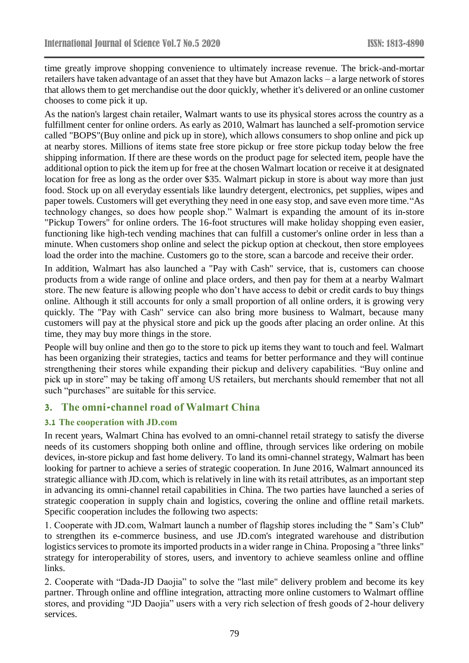time greatly improve shopping convenience to ultimately increase revenue. The brick-and-mortar retailers have taken advantage of an asset that they have but Amazon lacks – a large network of stores that allows them to get merchandise out the door quickly, whether it's delivered or an online customer chooses to come pick it up.

As the nation's largest chain retailer, Walmart wants to use its physical stores across the country as a fulfillment center for online orders. As early as 2010, Walmart has launched a self-promotion service called "BOPS"(Buy online and pick up in store), which allows consumers to shop online and pick up at nearby stores. Millions of items state free store pickup or free store pickup today below the free shipping information. If there are these words on the product page for selected item, people have the additional option to pick the item up for free at the chosen Walmart location or receive it at designated location for free as long as the order over \$35. Walmart pickup in store is about way more than just food. Stock up on all everyday essentials like laundry detergent, electronics, pet supplies, wipes and paper towels. Customers will get everything they need in one easy stop, and save even more time."As technology changes, so does how people shop." Walmart is expanding the amount of its in-store "Pickup Towers" for online orders. The 16-foot structures will make holiday shopping even easier, functioning like high-tech vending machines that can fulfill a customer's online order in less than a minute. When customers shop online and select the pickup option at checkout, then store employees load the order into the machine. Customers go to the store, scan a barcode and receive their order.

In addition, Walmart has also launched a "Pay with Cash" service, that is, customers can choose products from a wide range of online and place orders, and then pay for them at a nearby Walmart store. The new feature is allowing people who don't have access to debit or credit cards to buy things online. Although it still accounts for only a small proportion of all online orders, it is growing very quickly. The "Pay with Cash" service can also bring more business to Walmart, because many customers will pay at the physical store and pick up the goods after placing an order online. At this time, they may buy more things in the store.

People will buy online and then go to the store to pick up items they want to touch and feel. Walmart has been organizing their strategies, tactics and teams for better performance and they will continue strengthening their stores while expanding their pickup and delivery capabilities. "Buy online and pick up in store" may be taking off among US retailers, but merchants should remember that not all such "purchases" are suitable for this service.

### **3. The omni-channel road of Walmart China**

### **3.1 The cooperation with JD.com**

In recent years, Walmart China has evolved to an omni-channel retail strategy to satisfy the diverse needs of its customers shopping both online and offline, through services like ordering on mobile devices, in-store pickup and fast home delivery. To land its omni-channel strategy, Walmart has been looking for partner to achieve a series of strategic cooperation. In June 2016, Walmart announced its strategic alliance with JD.com, which is relatively in line with its retail attributes, as an important step in advancing its omni-channel retail capabilities in China. The two parties have launched a series of strategic cooperation in supply chain and logistics, covering the online and offline retail markets. Specific cooperation includes the following two aspects:

1. Cooperate with JD.com, Walmart launch a number of flagship stores including the " Sam's Club" to strengthen its e-commerce business, and use JD.com's integrated warehouse and distribution logistics services to promote its imported products in a wider range in China. Proposing a "three links" strategy for interoperability of stores, users, and inventory to achieve seamless online and offline links.

2. Cooperate with "Dada-JD Daojia" to solve the "last mile" delivery problem and become its key partner. Through online and offline integration, attracting more online customers to Walmart offline stores, and providing "JD Daojia" users with a very rich selection of fresh goods of 2-hour delivery services.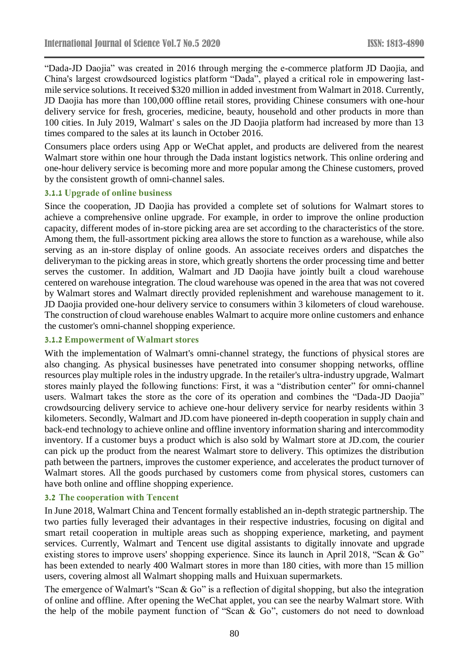"Dada-JD Daojia" was created in 2016 through merging the e-commerce platform JD Daojia, and China's largest crowdsourced logistics platform "Dada", played a critical role in empowering lastmile service solutions. It received \$320 million in added investment from Walmart in 2018. Currently, JD Daojia has more than 100,000 offline retail stores, providing Chinese consumers with one-hour delivery service for fresh, groceries, medicine, beauty, household and other products in more than 100 cities. In July 2019, Walmart' s sales on the JD Daojia platform had increased by more than 13 times compared to the sales at its launch in October 2016.

Consumers place orders using App or WeChat applet, and products are delivered from the nearest Walmart store within one hour through the Dada instant logistics network. This online ordering and one-hour delivery service is becoming more and more popular among the Chinese customers, proved by the consistent growth of omni-channel sales.

#### **3.1.1 Upgrade of online business**

Since the cooperation, JD Daojia has provided a complete set of solutions for Walmart stores to achieve a comprehensive online upgrade. For example, in order to improve the online production capacity, different modes of in-store picking area are set according to the characteristics of the store. Among them, the full-assortment picking area allows the store to function as a warehouse, while also serving as an in-store display of online goods. An associate receives orders and dispatches the deliveryman to the picking areas in store, which greatly shortens the order processing time and better serves the customer. In addition, Walmart and JD Daojia have jointly built a cloud warehouse centered on warehouse integration. The cloud warehouse was opened in the area that was not covered by Walmart stores and Walmart directly provided replenishment and warehouse management to it. JD Daojia provided one-hour delivery service to consumers within 3 kilometers of cloud warehouse. The construction of cloud warehouse enables Walmart to acquire more online customers and enhance the customer's omni-channel shopping experience.

#### **3.1.2 Empowerment of Walmart stores**

With the implementation of Walmart's omni-channel strategy, the functions of physical stores are also changing. As physical businesses have penetrated into consumer shopping networks, offline resources play multiple roles in the industry upgrade. In the retailer's ultra-industry upgrade, Walmart stores mainly played the following functions: First, it was a "distribution center" for omni-channel users. Walmart takes the store as the core of its operation and combines the "Dada-JD Daojia" crowdsourcing delivery service to achieve one-hour delivery service for nearby residents within 3 kilometers. Secondly, Walmart and JD.com have pioneered in-depth cooperation in supply chain and back-end technology to achieve online and offline inventory information sharing and intercommodity inventory. If a customer buys a product which is also sold by Walmart store at JD.com, the courier can pick up the product from the nearest Walmart store to delivery. This optimizes the distribution path between the partners, improves the customer experience, and accelerates the product turnover of Walmart stores. All the goods purchased by customers come from physical stores, customers can have both online and offline shopping experience.

#### **3.2 The cooperation with Tencent**

In June 2018, Walmart China and Tencent formally established an in-depth strategic partnership. The two parties fully leveraged their advantages in their respective industries, focusing on digital and smart retail cooperation in multiple areas such as shopping experience, marketing, and payment services. Currently, Walmart and Tencent use digital assistants to digitally innovate and upgrade existing stores to improve users' shopping experience. Since its launch in April 2018, "Scan & Go" has been extended to nearly 400 Walmart stores in more than 180 cities, with more than 15 million users, covering almost all Walmart shopping malls and Huixuan supermarkets.

The emergence of Walmart's "Scan & Go" is a reflection of digital shopping, but also the integration of online and offline. After opening the WeChat applet, you can see the nearby Walmart store. With the help of the mobile payment function of "Scan & Go", customers do not need to download